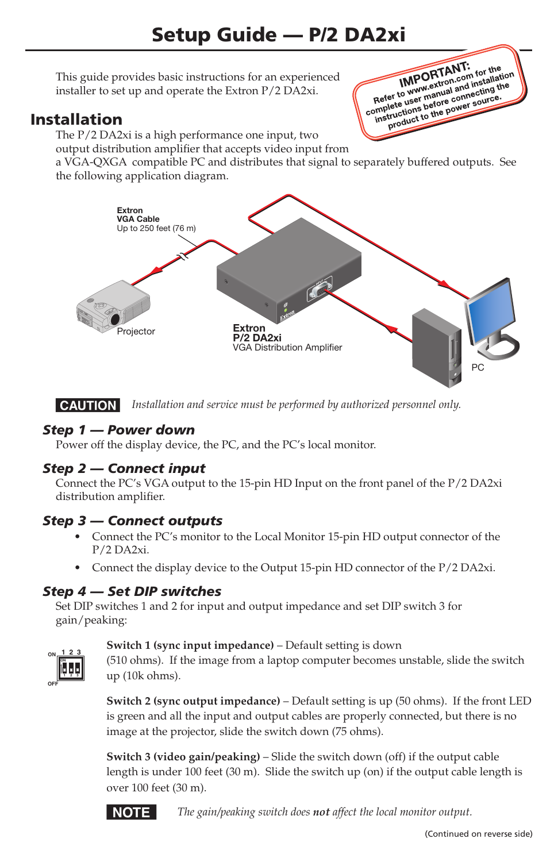This guide provides basic instructions for an experienced installer to set up and operate the Extron P/2 DA2xi.

# Installation

The P/2 DA2xi is a high performance one input, two

output distribution amplifier that accepts video input from

a VGA-QXGA compatible PC and distributes that signal to separately buffered outputs. See the following application diagram.

**IMPORTANT:**<br> **IMPORTANT:** for the<br> **Refer to www.skton.com** installation<br>
Refer to www.skton.com source. **IMPORTANT: IMPORTANT:** for the ion<br>
Refer to www.extron.com installand the<br>
Refer to user manual and installand the<br>
complete user manual and source. IMPOLATIon community<br>Refer to www.wextron.community.net<br>amplete user manual and community.org<br>instructions before power source. fer to www.winanual annecting to<br>plete user before connecting to<br>structions before cower source.<br>product to the power source.



**CAUTION** Installation and service must be performed by authorized personnel only.

## *Step 1 — Power down*

Power off the display device, the PC, and the PC's local monitor.

### *Step 2 — Connect input*

Connect the PC's VGA output to the 15-pin HD Input on the front panel of the P/2 DA2xi distribution amplifier.

### *Step 3 — Connect outputs*

- **•**  Connect the PC's monitor to the Local Monitor 15-pin HD output connector of the P/2 DA2xi.
- **•**  Connect the display device to the Output 15-pin HD connector of the P/2 DA2xi.

### *Step 4 — Set DIP switches*

Set DIP switches 1 and 2 for input and output impedance and set DIP switch 3 for gain/peaking:

| ٥ |  |  |
|---|--|--|

#### **Switch 1 (sync input impedance)** – Default setting is down

(510 ohms). If the image from a laptop computer becomes unstable, slide the switch up (10k ohms).

**Switch 2 (sync output impedance)** – Default setting is up (50 ohms). If the front LED is green and all the input and output cables are properly connected, but there is no image at the projector, slide the switch down (75 ohms).

**Switch 3 (video gain/peaking)** – Slide the switch down (off) if the output cable length is under 100 feet (30 m). Slide the switch up (on) if the output cable length is over 100 feet (30 m).



**NOTE** The gain/peaking switch does not affect the local monitor output.